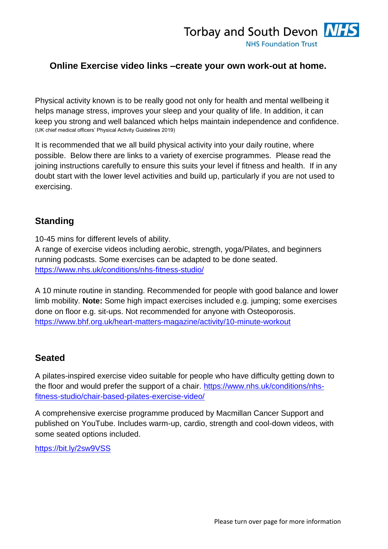## **Online Exercise video links –create your own work-out at home.**

Physical activity known is to be really good not only for health and mental wellbeing it helps manage stress, improves your sleep and your quality of life. In addition, it can keep you strong and well balanced which helps maintain independence and confidence. (UK chief medical officers' Physical Activity Guidelines 2019)

It is recommended that we all build physical activity into your daily routine, where possible. Below there are links to a variety of exercise programmes. Please read the joining instructions carefully to ensure this suits your level if fitness and health. If in any doubt start with the lower level activities and build up, particularly if you are not used to exercising.

#### **Standing**

10-45 mins for different levels of ability.

A range of exercise videos including aerobic, strength, yoga/Pilates, and beginners running podcasts. Some exercises can be adapted to be done seated. <https://www.nhs.uk/conditions/nhs-fitness-studio/>

A 10 minute routine in standing. Recommended for people with good balance and lower limb mobility. **Note:** Some high impact exercises included e.g. jumping; some exercises done on floor e.g. sit-ups. Not recommended for anyone with Osteoporosis. <https://www.bhf.org.uk/heart-matters-magazine/activity/10-minute-workout>

#### **Seated**

A pilates-inspired exercise video suitable for people who have difficulty getting down to the floor and would prefer the support of a chair. [https://www.nhs.uk/conditions/nhs](https://www.nhs.uk/conditions/nhs-fitness-studio/chair-based-pilates-exercise-video/)[fitness-studio/chair-based-pilates-exercise-video/](https://www.nhs.uk/conditions/nhs-fitness-studio/chair-based-pilates-exercise-video/)

A comprehensive exercise programme produced by Macmillan Cancer Support and published on YouTube. Includes warm-up, cardio, strength and cool-down videos, with some seated options included.

<https://bit.ly/2sw9VSS>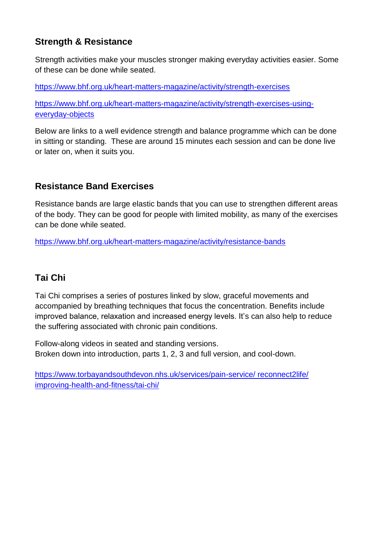## **Strength & Resistance**

Strength activities make your muscles stronger making everyday activities easier. Some of these can be done while seated.

<https://www.bhf.org.uk/heart-matters-magazine/activity/strength-exercises>

[https://www.bhf.org.uk/heart-matters-magazine/activity/strength-exercises-using](https://www.bhf.org.uk/heart-matters-magazine/activity/strength-exercises-using-everyday-objects)[everyday-objects](https://www.bhf.org.uk/heart-matters-magazine/activity/strength-exercises-using-everyday-objects)

Below are links to a well evidence strength and balance programme which can be done in sitting or standing. These are around 15 minutes each session and can be done live or later on, when it suits you.

# **Resistance Band Exercises**

Resistance bands are large elastic bands that you can use to strengthen different areas of the body. They can be good for people with limited mobility, as many of the exercises can be done while seated.

<https://www.bhf.org.uk/heart-matters-magazine/activity/resistance-bands>

## **Tai Chi**

Tai Chi comprises a series of postures linked by slow, graceful movements and accompanied by breathing techniques that focus the concentration. Benefits include improved balance, relaxation and increased energy levels. It's can also help to reduce the suffering associated with chronic pain conditions.

Follow-along videos in seated and standing versions. Broken down into introduction, parts 1, 2, 3 and full version, and cool-down.

[https://www.torbayandsouthdevon.nhs.uk/services/pain-service/ reconnect2life/](https://www.torbayandsouthdevon.nhs.uk/services/pain-service/%20reconnect2life/%20improving-health-and-fitness/tai-chi/)  [improving-health-and-fitness/tai-chi/](https://www.torbayandsouthdevon.nhs.uk/services/pain-service/%20reconnect2life/%20improving-health-and-fitness/tai-chi/)